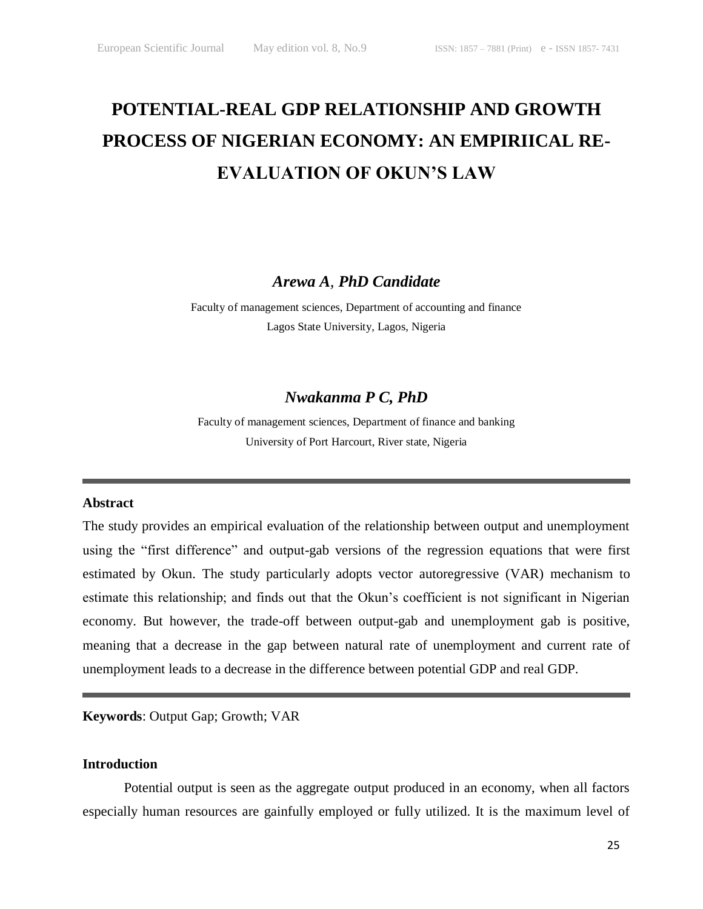# **POTENTIAL-REAL GDP RELATIONSHIP AND GROWTH PROCESS OF NIGERIAN ECONOMY: AN EMPIRIICAL RE-EVALUATION OF OKUN'S LAW**

*Arewa A, PhD Candidate*

Faculty of management sciences, Department of accounting and finance Lagos State University, Lagos, Nigeria

# *Nwakanma P C, PhD*

Faculty of management sciences, Department of finance and banking University of Port Harcourt, River state, Nigeria

#### **Abstract**

The study provides an empirical evaluation of the relationship between output and unemployment using the "first difference" and output-gab versions of the regression equations that were first estimated by Okun. The study particularly adopts vector autoregressive (VAR) mechanism to estimate this relationship; and finds out that the Okun's coefficient is not significant in Nigerian economy. But however, the trade-off between output-gab and unemployment gab is positive, meaning that a decrease in the gap between natural rate of unemployment and current rate of unemployment leads to a decrease in the difference between potential GDP and real GDP.

**Keywords**: Output Gap; Growth; VAR

### **Introduction**

Potential output is seen as the aggregate output produced in an economy, when all factors especially human resources are gainfully employed or fully utilized. It is the maximum level of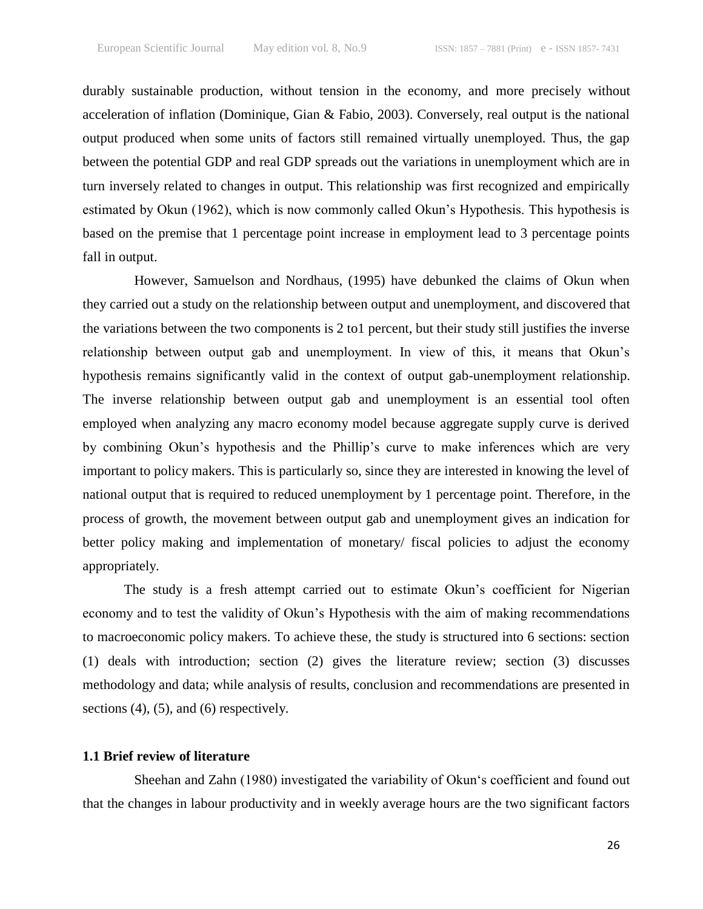durably sustainable production, without tension in the economy, and more precisely without acceleration of inflation (Dominique, Gian & Fabio, 2003). Conversely, real output is the national output produced when some units of factors still remained virtually unemployed. Thus, the gap between the potential GDP and real GDP spreads out the variations in unemployment which are in turn inversely related to changes in output. This relationship was first recognized and empirically estimated by Okun (1962), which is now commonly called Okun's Hypothesis. This hypothesis is based on the premise that 1 percentage point increase in employment lead to 3 percentage points fall in output.

However, Samuelson and Nordhaus, (1995) have debunked the claims of Okun when they carried out a study on the relationship between output and unemployment, and discovered that the variations between the two components is 2 to1 percent, but their study still justifies the inverse relationship between output gab and unemployment. In view of this, it means that Okun's hypothesis remains significantly valid in the context of output gab-unemployment relationship. The inverse relationship between output gab and unemployment is an essential tool often employed when analyzing any macro economy model because aggregate supply curve is derived by combining Okun's hypothesis and the Phillip's curve to make inferences which are very important to policy makers. This is particularly so, since they are interested in knowing the level of national output that is required to reduced unemployment by 1 percentage point. Therefore, in the process of growth, the movement between output gab and unemployment gives an indication for better policy making and implementation of monetary/ fiscal policies to adjust the economy appropriately.

The study is a fresh attempt carried out to estimate Okun's coefficient for Nigerian economy and to test the validity of Okun's Hypothesis with the aim of making recommendations to macroeconomic policy makers. To achieve these, the study is structured into 6 sections: section (1) deals with introduction; section (2) gives the literature review; section (3) discusses methodology and data; while analysis of results, conclusion and recommendations are presented in sections (4), (5), and (6) respectively.

## **1.1 Brief review of literature**

Sheehan and Zahn (1980) investigated the variability of Okun's coefficient and found out that the changes in labour productivity and in weekly average hours are the two significant factors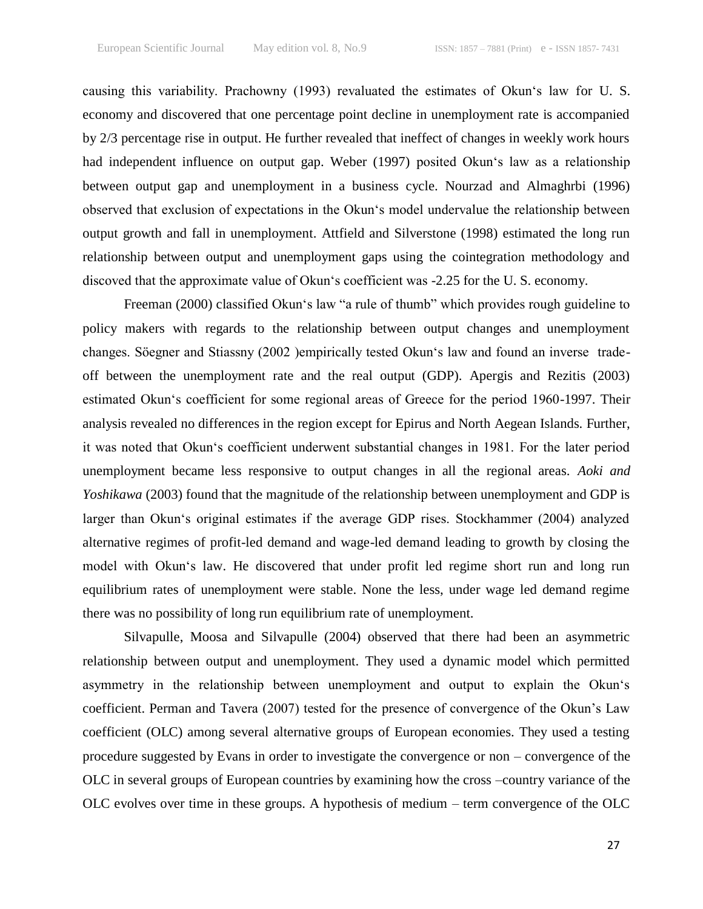causing this variability. Prachowny (1993) revaluated the estimates of Okun's law for U.S. economy and discovered that one percentage point decline in unemployment rate is accompanied by 2/3 percentage rise in output. He further revealed that ineffect of changes in weekly work hours had independent influence on output gap. Weber (1997) posited Okun's law as a relationship between output gap and unemployment in a business cycle. Nourzad and Almaghrbi (1996) observed that exclusion of expectations in the Okun's model undervalue the relationship between output growth and fall in unemployment. Attfield and Silverstone (1998) estimated the long run relationship between output and unemployment gaps using the cointegration methodology and discoved that the approximate value of Okun's coefficient was -2.25 for the U.S. economy.

Freeman (2000) classified Okun's law "a rule of thumb" which provides rough guideline to policy makers with regards to the relationship between output changes and unemployment changes. Söegner and Stiassny (2002 )empirically tested Okun‗s law and found an inverse tradeoff between the unemployment rate and the real output (GDP). Apergis and Rezitis (2003) estimated Okun's coefficient for some regional areas of Greece for the period 1960-1997. Their analysis revealed no differences in the region except for Epirus and North Aegean Islands. Further, it was noted that Okun's coefficient underwent substantial changes in 1981. For the later period unemployment became less responsive to output changes in all the regional areas. *Aoki and Yoshikawa* (2003) found that the magnitude of the relationship between unemployment and GDP is larger than Okun's original estimates if the average GDP rises. Stockhammer (2004) analyzed alternative regimes of profit-led demand and wage-led demand leading to growth by closing the model with Okun's law. He discovered that under profit led regime short run and long run equilibrium rates of unemployment were stable. None the less, under wage led demand regime there was no possibility of long run equilibrium rate of unemployment.

Silvapulle, Moosa and Silvapulle (2004) observed that there had been an asymmetric relationship between output and unemployment. They used a dynamic model which permitted asymmetry in the relationship between unemployment and output to explain the Okun's coefficient. Perman and Tavera (2007) tested for the presence of convergence of the Okun's Law coefficient (OLC) among several alternative groups of European economies. They used a testing procedure suggested by Evans in order to investigate the convergence or non – convergence of the OLC in several groups of European countries by examining how the cross –country variance of the OLC evolves over time in these groups. A hypothesis of medium – term convergence of the OLC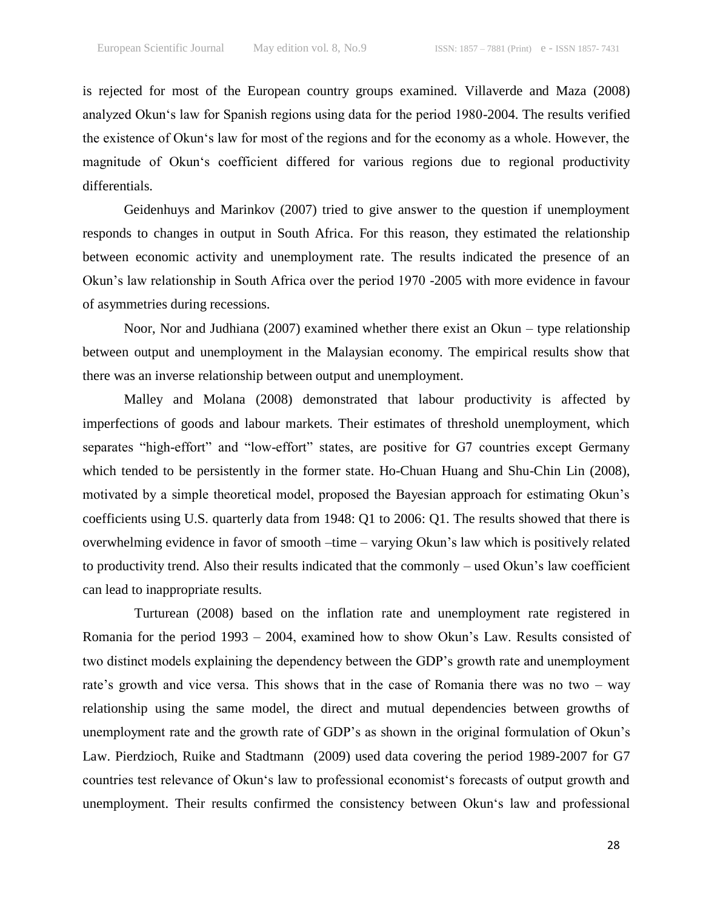is rejected for most of the European country groups examined. Villaverde and Maza (2008) analyzed Okun's law for Spanish regions using data for the period 1980-2004. The results verified the existence of Okun's law for most of the regions and for the economy as a whole. However, the magnitude of Okun's coefficient differed for various regions due to regional productivity differentials.

Geidenhuys and Marinkov (2007) tried to give answer to the question if unemployment responds to changes in output in South Africa. For this reason, they estimated the relationship between economic activity and unemployment rate. The results indicated the presence of an Okun's law relationship in South Africa over the period 1970 -2005 with more evidence in favour of asymmetries during recessions.

Noor, Nor and Judhiana (2007) examined whether there exist an Okun – type relationship between output and unemployment in the Malaysian economy. The empirical results show that there was an inverse relationship between output and unemployment.

Malley and Molana (2008) demonstrated that labour productivity is affected by imperfections of goods and labour markets. Their estimates of threshold unemployment, which separates "high-effort" and "low-effort" states, are positive for G7 countries except Germany which tended to be persistently in the former state. Ho-Chuan Huang and Shu-Chin Lin (2008), motivated by a simple theoretical model, proposed the Bayesian approach for estimating Okun's coefficients using U.S. quarterly data from 1948: Q1 to 2006: Q1. The results showed that there is overwhelming evidence in favor of smooth –time – varying Okun's law which is positively related to productivity trend. Also their results indicated that the commonly – used Okun's law coefficient can lead to inappropriate results.

Turturean (2008) based on the inflation rate and unemployment rate registered in Romania for the period 1993 – 2004, examined how to show Okun's Law. Results consisted of two distinct models explaining the dependency between the GDP's growth rate and unemployment rate's growth and vice versa. This shows that in the case of Romania there was no two – way relationship using the same model, the direct and mutual dependencies between growths of unemployment rate and the growth rate of GDP's as shown in the original formulation of Okun's Law. Pierdzioch, Ruike and Stadtmann (2009) used data covering the period 1989-2007 for G7 countries test relevance of Okun's law to professional economist's forecasts of output growth and unemployment. Their results confirmed the consistency between Okun's law and professional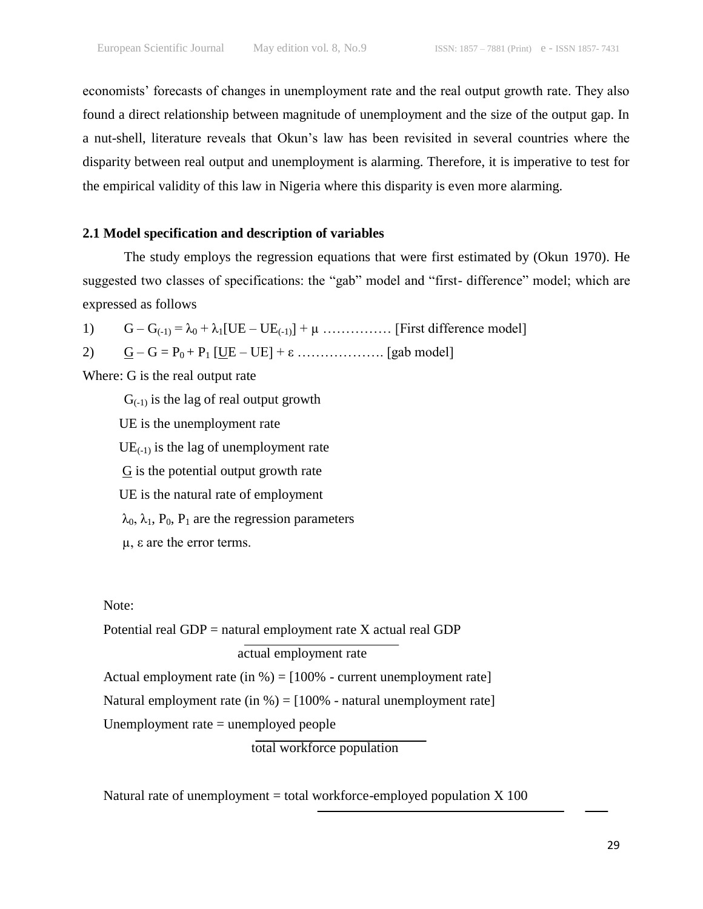economists' forecasts of changes in unemployment rate and the real output growth rate. They also found a direct relationship between magnitude of unemployment and the size of the output gap. In a nut-shell, literature reveals that Okun's law has been revisited in several countries where the disparity between real output and unemployment is alarming. Therefore, it is imperative to test for the empirical validity of this law in Nigeria where this disparity is even more alarming.

# **2.1 Model specification and description of variables**

The study employs the regression equations that were first estimated by (Okun 1970). He suggested two classes of specifications: the "gab" model and "first- difference" model; which are expressed as follows

1) G – G(-1) = λ<sup>0</sup> + λ1[UE – UE(-1)] + µ …………… [First difference model]

2)  $G - G = P_0 + P_1$  [UE – UE] + ε ……………... [gab model]

Where: G is the real output rate

 $G<sub>(-1)</sub>$  is the lag of real output growth UE is the unemployment rate  $UE_{(-1)}$  is the lag of unemployment rate  $G$  is the potential output growth rate UE is the natural rate of employment  $\lambda_0$ ,  $\lambda_1$ ,  $P_0$ ,  $P_1$  are the regression parameters µ, ε are the error terms.

# Note:

Potential real  $GDP =$  natural employment rate  $X$  actual real  $GDP$  actual employment rate Actual employment rate (in  $\%$ ) = [100\% - current unemployment rate] Natural employment rate (in %) =  $[100%$  - natural unemployment rate] Unemployment rate = unemployed people total workforce population

Natural rate of unemployment = total workforce-employed population  $X$  100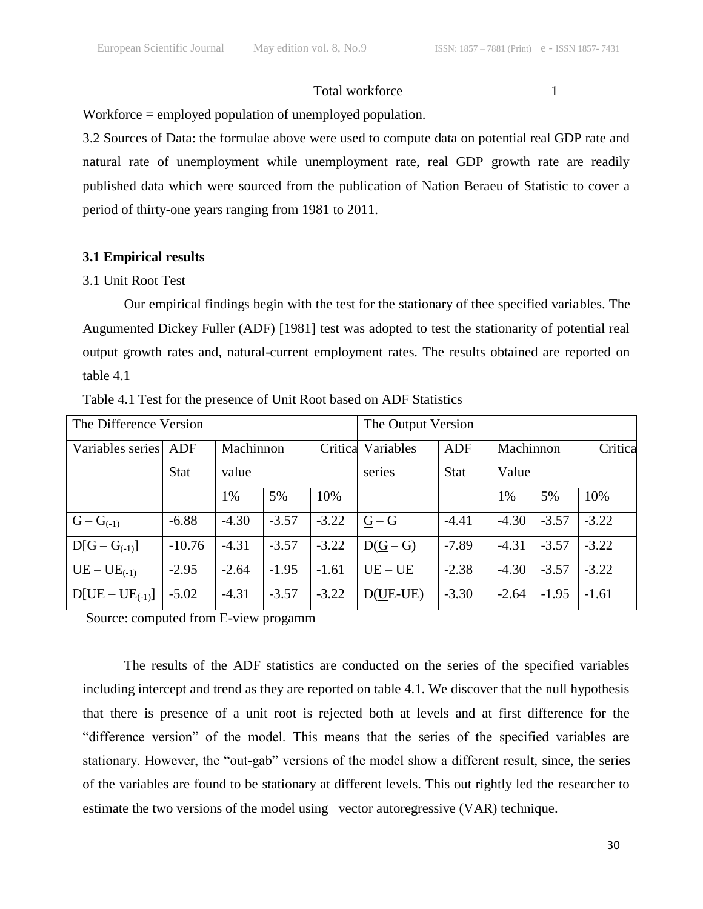#### Total workforce 1

Workforce = employed population of unemployed population.

3.2 Sources of Data: the formulae above were used to compute data on potential real GDP rate and natural rate of unemployment while unemployment rate, real GDP growth rate are readily published data which were sourced from the publication of Nation Beraeu of Statistic to cover a period of thirty-one years ranging from 1981 to 2011.

# **3.1 Empirical results**

# 3.1 Unit Root Test

Our empirical findings begin with the test for the stationary of thee specified variables. The Augumented Dickey Fuller (ADF) [1981] test was adopted to test the stationarity of potential real output growth rates and, natural-current employment rates. The results obtained are reported on table 4.1

| The Difference Version | The Output Version |           |         |         |            |             |           |         |         |
|------------------------|--------------------|-----------|---------|---------|------------|-------------|-----------|---------|---------|
| Variables series       | ADF                | Machinnon |         | Critica | Variables  | <b>ADF</b>  | Machinnon |         | Critica |
|                        | <b>Stat</b>        | value     |         |         | series     | <b>Stat</b> | Value     |         |         |
|                        |                    | 1%        | 5%      | 10%     |            |             | 1%        | 5%      | 10%     |
| $G - G_{(-1)}$         | $-6.88$            | $-4.30$   | $-3.57$ | $-3.22$ | $G - G$    | $-4.41$     | $-4.30$   | $-3.57$ | $-3.22$ |
| $D[G - G_{(-1)}]$      | $-10.76$           | $-4.31$   | $-3.57$ | $-3.22$ | $D(G - G)$ | $-7.89$     | $-4.31$   | $-3.57$ | $-3.22$ |
| $UE - UE_{(-1)}$       | $-2.95$            | $-2.64$   | $-1.95$ | $-1.61$ | UE – UE    | $-2.38$     | $-4.30$   | $-3.57$ | $-3.22$ |
| $D[UE - UE_{(-1)}]$    | $-5.02$            | $-4.31$   | $-3.57$ | $-3.22$ | $D(UE-UE)$ | $-3.30$     | $-2.64$   | $-1.95$ | $-1.61$ |

Table 4.1 Test for the presence of Unit Root based on ADF Statistics

Source: computed from E-view progamm

The results of the ADF statistics are conducted on the series of the specified variables including intercept and trend as they are reported on table 4.1. We discover that the null hypothesis that there is presence of a unit root is rejected both at levels and at first difference for the "difference version" of the model. This means that the series of the specified variables are stationary. However, the "out-gab" versions of the model show a different result, since, the series of the variables are found to be stationary at different levels. This out rightly led the researcher to estimate the two versions of the model using vector autoregressive (VAR) technique.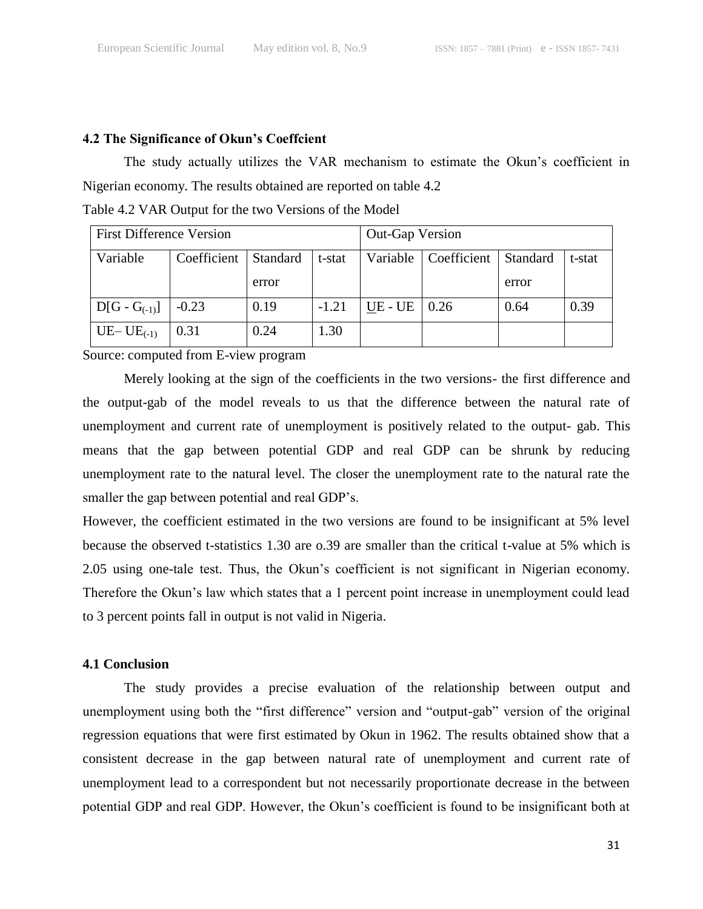# **4.2 The Significance of Okun's Coeffcient**

The study actually utilizes the VAR mechanism to estimate the Okun's coefficient in Nigerian economy. The results obtained are reported on table 4.2

Table 4.2 VAR Output for the two Versions of the Model

| <b>First Difference Version</b> |             | <b>Out-Gap Version</b> |         |             |             |          |        |
|---------------------------------|-------------|------------------------|---------|-------------|-------------|----------|--------|
| Variable                        | Coefficient | Standard               | t-stat  | Variable    | Coefficient | Standard | t-stat |
|                                 |             | error                  |         |             |             | error    |        |
| $D[G - G_{(-1)}]$               | $-0.23$     | 0.19                   | $-1.21$ | $UE$ - $UE$ | 0.26        | 0.64     | 0.39   |
| UE-UE $_{(-1)}$                 | 0.31        | 0.24                   | 1.30    |             |             |          |        |

Source: computed from E-view program

Merely looking at the sign of the coefficients in the two versions- the first difference and the output-gab of the model reveals to us that the difference between the natural rate of unemployment and current rate of unemployment is positively related to the output- gab. This means that the gap between potential GDP and real GDP can be shrunk by reducing unemployment rate to the natural level. The closer the unemployment rate to the natural rate the smaller the gap between potential and real GDP's.

However, the coefficient estimated in the two versions are found to be insignificant at 5% level because the observed t-statistics 1.30 are o.39 are smaller than the critical t-value at 5% which is 2.05 using one-tale test. Thus, the Okun's coefficient is not significant in Nigerian economy. Therefore the Okun's law which states that a 1 percent point increase in unemployment could lead to 3 percent points fall in output is not valid in Nigeria.

# **4.1 Conclusion**

The study provides a precise evaluation of the relationship between output and unemployment using both the "first difference" version and "output-gab" version of the original regression equations that were first estimated by Okun in 1962. The results obtained show that a consistent decrease in the gap between natural rate of unemployment and current rate of unemployment lead to a correspondent but not necessarily proportionate decrease in the between potential GDP and real GDP. However, the Okun's coefficient is found to be insignificant both at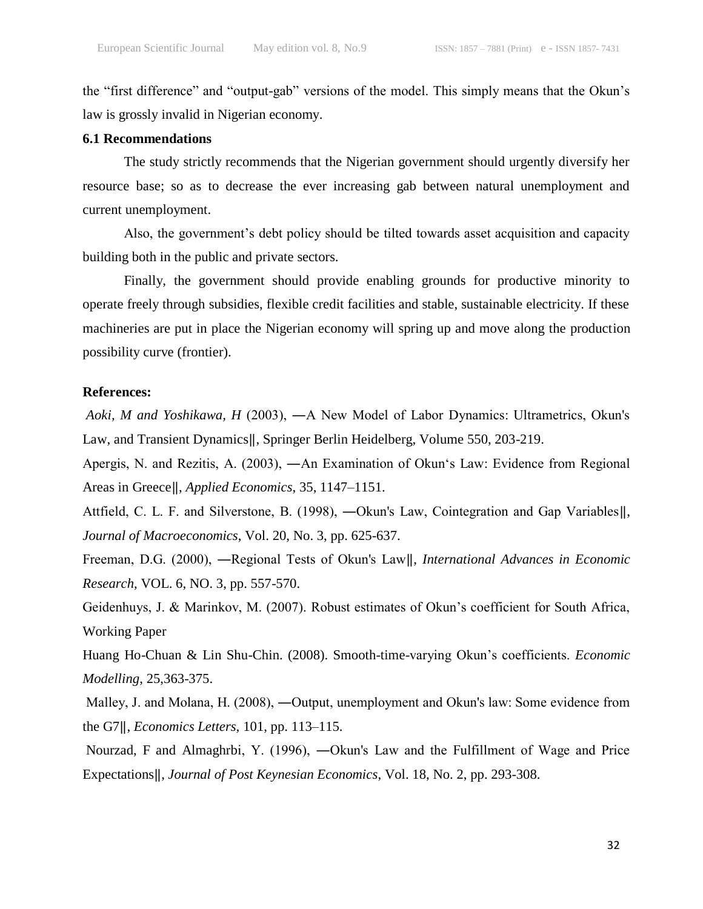the "first difference" and "output-gab" versions of the model. This simply means that the Okun's law is grossly invalid in Nigerian economy.

# **6.1 Recommendations**

The study strictly recommends that the Nigerian government should urgently diversify her resource base; so as to decrease the ever increasing gab between natural unemployment and current unemployment.

Also, the government's debt policy should be tilted towards asset acquisition and capacity building both in the public and private sectors.

Finally, the government should provide enabling grounds for productive minority to operate freely through subsidies, flexible credit facilities and stable, sustainable electricity. If these machineries are put in place the Nigerian economy will spring up and move along the production possibility curve (frontier).

#### **References:**

*Aoki, M and Yoshikawa, H* (2003), ―A New Model of Labor Dynamics: Ultrametrics, Okun's Law, and Transient Dynamics‖, Springer Berlin Heidelberg, Volume 550, 203-219.

Apergis, N. and Rezitis, A. (2003), —An Examination of Okun's Law: Evidence from Regional Areas in Greece‖, *Applied Economics*, 35, 1147–1151.

Attfield, C. L. F. and Silverstone, B. (1998), ―Okun's Law, Cointegration and Gap Variables‖, *Journal of Macroeconomics*, Vol. 20, No. 3, pp. 625-637.

Freeman, D.G. (2000), ―Regional Tests of Okun's Law‖, *International Advances in Economic Research,* VOL. 6, NO. 3, pp. 557-570.

Geidenhuys, J. & Marinkov, M. (2007). Robust estimates of Okun's coefficient for South Africa, Working Paper

Huang Ho-Chuan & Lin Shu-Chin. (2008). Smooth-time-varying Okun's coefficients. *Economic Modelling*, 25,363-375.

Malley, J. and Molana, H. (2008), —Output, unemployment and Okun's law: Some evidence from the G7‖, *Economics Letters,* 101, pp. 113–115.

Nourzad, F and Almaghrbi, Y. (1996), ―Okun's Law and the Fulfillment of Wage and Price Expectations‖, *Journal of Post Keynesian Economics*, Vol. 18, No. 2, pp. 293-308.